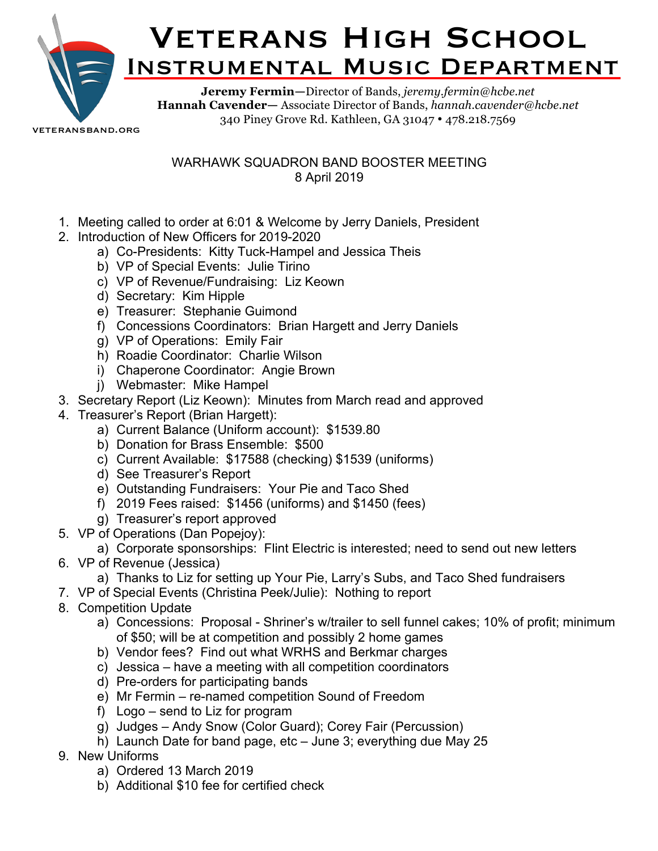

## **VETERANS HIGH SCHOOL** Instrumental Music Department

**Jeremy Fermin—**Director of Bands, *jeremy.fermin@hcbe.net* **Hannah Cavender—** Associate Director of Bands, *hannah.cavender@hcbe.net* 340 Piney Grove Rd. Kathleen, GA 31047 • 478.218.7569

veteransband.org

## WARHAWK SQUADRON BAND BOOSTER MEETING 8 April 2019

- 1. Meeting called to order at 6:01 & Welcome by Jerry Daniels, President
- 2. Introduction of New Officers for 2019-2020
	- a) Co-Presidents: Kitty Tuck-Hampel and Jessica Theis
	- b) VP of Special Events: Julie Tirino
	- c) VP of Revenue/Fundraising: Liz Keown
	- d) Secretary: Kim Hipple
	- e) Treasurer: Stephanie Guimond
	- f) Concessions Coordinators: Brian Hargett and Jerry Daniels
	- g) VP of Operations: Emily Fair
	- h) Roadie Coordinator: Charlie Wilson
	- i) Chaperone Coordinator: Angie Brown
	- j) Webmaster: Mike Hampel
- 3. Secretary Report (Liz Keown): Minutes from March read and approved
- 4. Treasurer's Report (Brian Hargett):
	- a) Current Balance (Uniform account): \$1539.80
	- b) Donation for Brass Ensemble: \$500
	- c) Current Available: \$17588 (checking) \$1539 (uniforms)
	- d) See Treasurer's Report
	- e) Outstanding Fundraisers: Your Pie and Taco Shed
	- f) 2019 Fees raised: \$1456 (uniforms) and \$1450 (fees)
	- g) Treasurer's report approved
- 5. VP of Operations (Dan Popejoy):
	- a) Corporate sponsorships: Flint Electric is interested; need to send out new letters
- 6. VP of Revenue (Jessica)
	- a) Thanks to Liz for setting up Your Pie, Larry's Subs, and Taco Shed fundraisers
- 7. VP of Special Events (Christina Peek/Julie): Nothing to report
- 8. Competition Update
	- a) Concessions: Proposal Shriner's w/trailer to sell funnel cakes; 10% of profit; minimum of \$50; will be at competition and possibly 2 home games
	- b) Vendor fees? Find out what WRHS and Berkmar charges
	- c) Jessica have a meeting with all competition coordinators
	- d) Pre-orders for participating bands
	- e) Mr Fermin re-named competition Sound of Freedom
	- f) Logo send to Liz for program
	- g) Judges Andy Snow (Color Guard); Corey Fair (Percussion)
	- h) Launch Date for band page, etc June 3; everything due May 25
- 9. New Uniforms
	- a) Ordered 13 March 2019
	- b) Additional \$10 fee for certified check